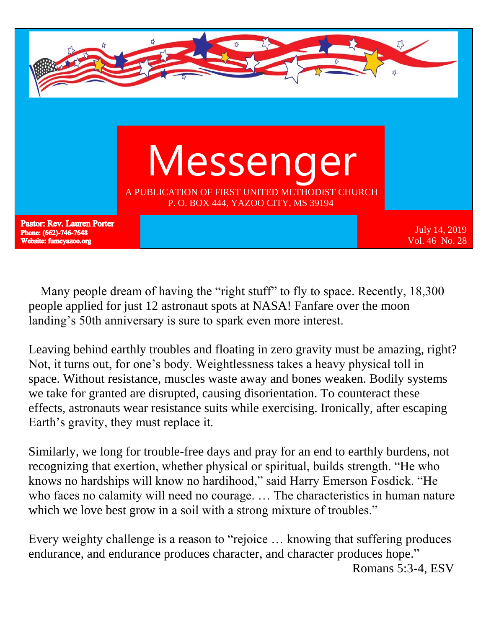

 Many people dream of having the "right stuff" to fly to space. Recently, 18,300 people applied for just 12 astronaut spots at NASA! Fanfare over the moon landing's 50th anniversary is sure to spark even more interest.

Leaving behind earthly troubles and floating in zero gravity must be amazing, right? Not, it turns out, for one's body. Weightlessness takes a heavy physical toll in space. Without resistance, muscles waste away and bones weaken. Bodily systems we take for granted are disrupted, causing disorientation. To counteract these effects, astronauts wear resistance suits while exercising. Ironically, after escaping Earth's gravity, they must replace it.

Similarly, we long for trouble-free days and pray for an end to earthly burdens, not recognizing that exertion, whether physical or spiritual, builds strength. "He who knows no hardships will know no hardihood," said Harry Emerson Fosdick. "He who faces no calamity will need no courage. … The characteristics in human nature which we love best grow in a soil with a strong mixture of troubles."

Every weighty challenge is a reason to "rejoice … knowing that suffering produces endurance, and endurance produces character, and character produces hope." Romans 5:3-4, ESV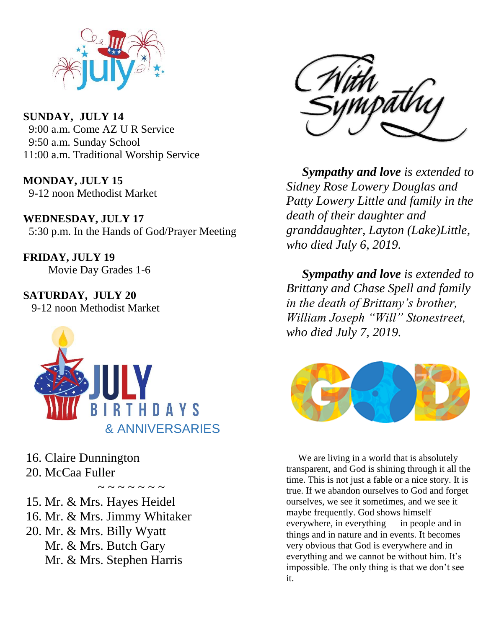

**SUNDAY, JULY 14** 9:00 a.m. Come AZ U R Service 9:50 a.m. Sunday School 11:00 a.m. Traditional Worship Service

**MONDAY, JULY 15** 9-12 noon Methodist Market

**WEDNESDAY, JULY 17** 5:30 p.m. In the Hands of God/Prayer Meeting

**FRIDAY, JULY 19** Movie Day Grades 1-6

**SATURDAY, JULY 20** 9-12 noon Methodist Market



16. Claire Dunnington

20. McCaa Fuller

 $\sim$   $\sim$   $\sim$   $\sim$   $\sim$   $\sim$ 

15. Mr. & Mrs. Hayes Heidel

- 16. Mr. & Mrs. Jimmy Whitaker
- 20. Mr. & Mrs. Billy Wyatt Mr. & Mrs. Butch Gary Mr. & Mrs. Stephen Harris



 *Sympathy and love is extended to Sidney Rose Lowery Douglas and Patty Lowery Little and family in the death of their daughter and granddaughter, Layton (Lake)Little, who died July 6, 2019.*

 *Sympathy and love is extended to Brittany and Chase Spell and family in the death of Brittany's brother, William Joseph "Will" Stonestreet, who died July 7, 2019.* 



 We are living in a world that is absolutely transparent, and God is shining through it all the time. This is not just a fable or a nice story. It is true. If we abandon ourselves to God and forget ourselves, we see it sometimes, and we see it maybe frequently. God shows himself everywhere, in everything — in people and in things and in nature and in events. It becomes very obvious that God is everywhere and in everything and we cannot be without him. It's impossible. The only thing is that we don't see it.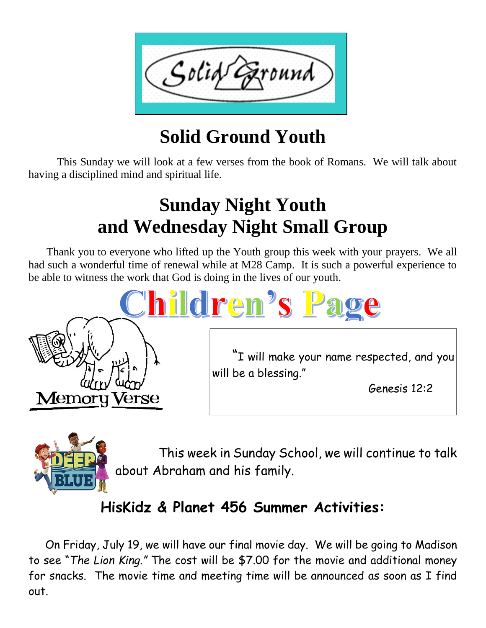

# **Solid Ground Youth**

 This Sunday we will look at a few verses from the book of Romans. We will talk about having a disciplined mind and spiritual life.

## **Sunday Night Youth and Wednesday Night Small Group**

 Thank you to everyone who lifted up the Youth group this week with your prayers. We all had such a wonderful time of renewal while at M28 Camp. It is such a powerful experience to be able to witness the work that God is doing in the lives of our youth.





 This week in Sunday School, we will continue to talk about Abraham and his family.

## **HisKidz & Planet 456 Summer Activities:**

 On Friday, July 19, we will have our final movie day. We will be going to Madison to see "*The Lion King."* The cost will be \$7.00 for the movie and additional money for snacks. The movie time and meeting time will be announced as soon as I find out.